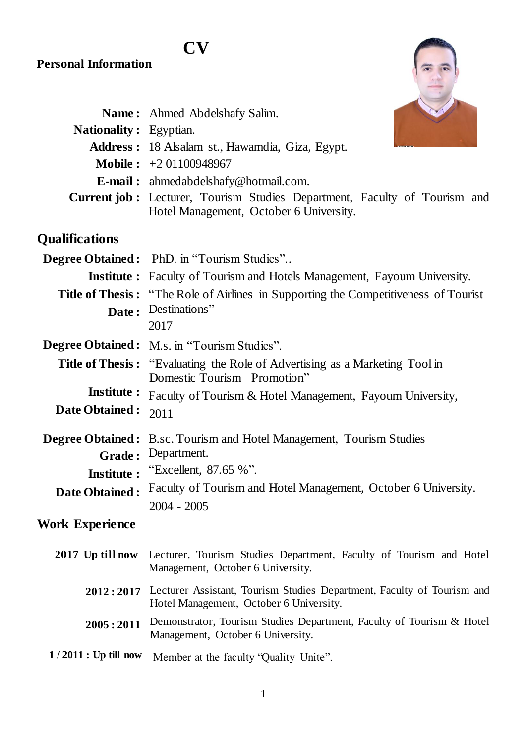## **Personal Information**

|                               | Name: Ahmed Abdelshafy Salim.                                                    |
|-------------------------------|----------------------------------------------------------------------------------|
| <b>Nationality:</b> Egyptian. |                                                                                  |
|                               | Address: 18 Alsalam st., Hawamdia, Giza, Egypt.                                  |
|                               | <b>Mobile :</b> $+201100948967$                                                  |
|                               | <b>E-mail:</b> ahmedabdelshafy@hotmail.com.                                      |
|                               | <b>Current job:</b> Lecturer, Tourism Studies Department, Faculty of Tourism and |
|                               | Hotel Management, October 6 University.                                          |

**CV**

# **Qualifications**

|                              | <b>Degree Obtained:</b> PhD. in "Tourism Studies"                                                                 |
|------------------------------|-------------------------------------------------------------------------------------------------------------------|
|                              | <b>Institute :</b> Faculty of Tourism and Hotels Management, Fayoum University.                                   |
|                              | <b>Title of Thesis:</b> "The Role of Airlines in Supporting the Competitiveness of Tourist                        |
|                              | Date: Destinations"                                                                                               |
|                              | 2017                                                                                                              |
|                              | <b>Degree Obtained:</b> M.s. in "Tourism Studies".                                                                |
|                              | <b>Title of Thesis:</b> "Evaluating the Role of Advertising as a Marketing Tool in<br>Domestic Tourism Promotion" |
| <b>Institute :</b>           | Faculty of Tourism & Hotel Management, Fayoum University,                                                         |
| Date Obtained:               | 2011                                                                                                              |
|                              | <b>Degree Obtained:</b> B.sc. Tourism and Hotel Management, Tourism Studies                                       |
| Grade:                       | Department.                                                                                                       |
| <b>Institute:</b>            | "Excellent, 87.65 %".                                                                                             |
| <b>Date Obtained:</b>        | Faculty of Tourism and Hotel Management, October 6 University.                                                    |
|                              | $2004 - 2005$                                                                                                     |
| $\mathbf{w}$ in $\mathbf{w}$ |                                                                                                                   |

## **Work Experience**

|                        | 2017 Up till now Lecturer, Tourism Studies Department, Faculty of Tourism and Hotel<br>Management, October 6 University.    |
|------------------------|-----------------------------------------------------------------------------------------------------------------------------|
|                        | 2012:2017 Lecturer Assistant, Tourism Studies Department, Faculty of Tourism and<br>Hotel Management, October 6 University. |
| 2005:2011              | Demonstrator, Tourism Studies Department, Faculty of Tourism & Hotel<br>Management, October 6 University.                   |
| $1/2011$ : Up till now | Member at the faculty 'Quality Unite''.                                                                                     |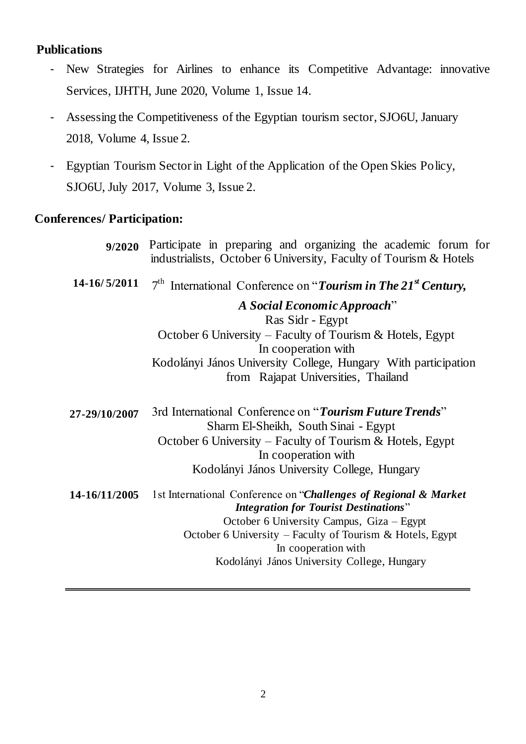### **Publications**

- New Strategies for Airlines to enhance its Competitive Advantage: innovative Services, IJHTH, June 2020, Volume 1, Issue 14.
- Assessing the Competitiveness of the Egyptian tourism sector, SJO6U, January 2018, Volume 4, Issue 2.
- Egyptian Tourism Sector in Light of the Application of the Open Skies Policy, SJO6U, July 2017, Volume 3, Issue 2.

#### **Conferences/ Participation:**

| 9/2020        | Participate in preparing and organizing the academic forum for<br>industrialists, October 6 University, Faculty of Tourism & Hotels |
|---------------|-------------------------------------------------------------------------------------------------------------------------------------|
| 14-16/5/2011  | $7th$ International Conference on "Tourism in The 21 <sup>st</sup> Century,                                                         |
|               | A Social Economic Approach"<br>Ras Sidr - Egypt                                                                                     |
|               | October 6 University – Faculty of Tourism & Hotels, Egypt<br>In cooperation with                                                    |
|               | Kodolányi János University College, Hungary With participation<br>from Rajapat Universities, Thailand                               |
| 27-29/10/2007 | 3rd International Conference on "Tourism Future Trends"<br>Sharm El-Sheikh, South Sinai - Egypt                                     |
|               | October 6 University – Faculty of Tourism & Hotels, Egypt<br>In cooperation with                                                    |
|               | Kodolányi János University College, Hungary                                                                                         |
| 14-16/11/2005 | 1st International Conference on "Challenges of Regional & Market<br><b>Integration for Tourist Destinations"</b>                    |
|               | October 6 University Campus, Giza - Egypt                                                                                           |
|               | October 6 University - Faculty of Tourism & Hotels, Egypt<br>In cooperation with                                                    |
|               | Kodolányi János University College, Hungary                                                                                         |
|               |                                                                                                                                     |